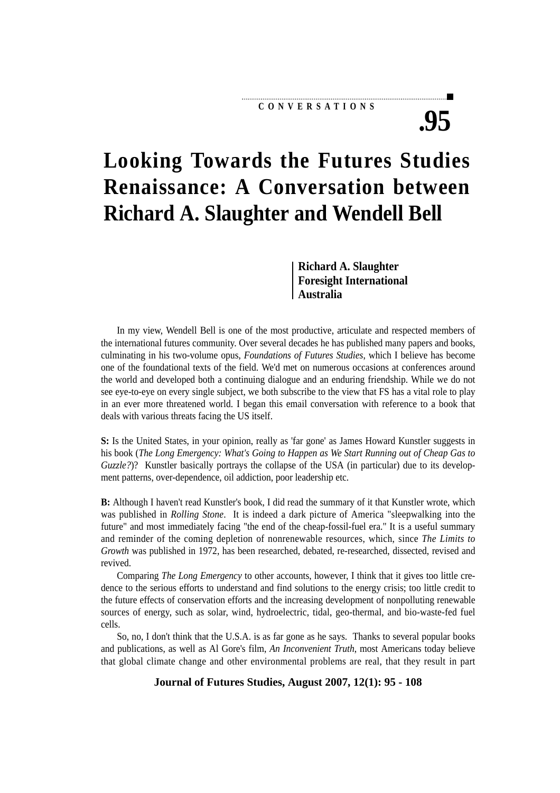#### **CONVERSATIONS**

# **.95**

## **Looking Towards the Futures Studies Renaissance: A Conversation between Richard A. Slaughter and Wendell Bell**

**Richard A. Slaughter Foresight International Australia**

In my view, Wendell Bell is one of the most productive, articulate and respected members of the international futures community. Over several decades he has published many papers and books, culminating in his two-volume opus, *Foundations of Futures Studies*, which I believe has become one of the foundational texts of the field. We'd met on numerous occasions at conferences around the world and developed both a continuing dialogue and an enduring friendship. While we do not see eye-to-eye on every single subject, we both subscribe to the view that FS has a vital role to play in an ever more threatened world. I began this email conversation with reference to a book that deals with various threats facing the US itself.

**S:** Is the United States, in your opinion, really as 'far gone' as James Howard Kunstler suggests in his book (*The Long Emergency: What's Going to Happen as We Start Running out of Cheap Gas to Guzzle?*)? Kunstler basically portrays the collapse of the USA (in particular) due to its development patterns, over-dependence, oil addiction, poor leadership etc.

**B:** Although I haven't read Kunstler's book, I did read the summary of it that Kunstler wrote, which was published in *Rolling Stone*. It is indeed a dark picture of America "sleepwalking into the future" and most immediately facing "the end of the cheap-fossil-fuel era." It is a useful summary and reminder of the coming depletion of nonrenewable resources, which, since *The Limits to Growth* was published in 1972, has been researched, debated, re-researched, dissected, revised and revived.

Comparing *The Long Emergency* to other accounts, however, I think that it gives too little credence to the serious efforts to understand and find solutions to the energy crisis; too little credit to the future effects of conservation efforts and the increasing development of nonpolluting renewable sources of energy, such as solar, wind, hydroelectric, tidal, geo-thermal, and bio-waste-fed fuel cells.

So, no, I don't think that the U.S.A. is as far gone as he says. Thanks to several popular books and publications, as well as Al Gore's film, *An Inconvenient Truth*, most Americans today believe that global climate change and other environmental problems are real, that they result in part

**Journal of Futures Studies, August 2007, 12(1): 95 - 108**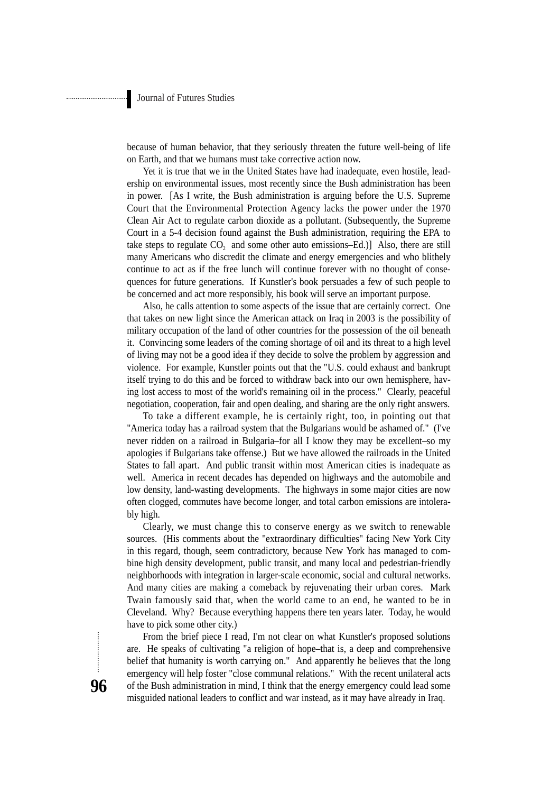because of human behavior, that they seriously threaten the future well-being of life on Earth, and that we humans must take corrective action now.

Yet it is true that we in the United States have had inadequate, even hostile, leadership on environmental issues, most recently since the Bush administration has been in power. [As I write, the Bush administration is arguing before the U.S. Supreme Court that the Environmental Protection Agency lacks the power under the 1970 Clean Air Act to regulate carbon dioxide as a pollutant. (Subsequently, the Supreme Court in a 5-4 decision found against the Bush administration, requiring the EPA to take steps to regulate  $CO<sub>2</sub>$  and some other auto emissions–Ed.)] Also, there are still many Americans who discredit the climate and energy emergencies and who blithely continue to act as if the free lunch will continue forever with no thought of consequences for future generations. If Kunstler's book persuades a few of such people to be concerned and act more responsibly, his book will serve an important purpose.

Also, he calls attention to some aspects of the issue that are certainly correct. One that takes on new light since the American attack on Iraq in 2003 is the possibility of military occupation of the land of other countries for the possession of the oil beneath it. Convincing some leaders of the coming shortage of oil and its threat to a high level of living may not be a good idea if they decide to solve the problem by aggression and violence. For example, Kunstler points out that the "U.S. could exhaust and bankrupt itself trying to do this and be forced to withdraw back into our own hemisphere, having lost access to most of the world's remaining oil in the process." Clearly, peaceful negotiation, cooperation, fair and open dealing, and sharing are the only right answers.

To take a different example, he is certainly right, too, in pointing out that "America today has a railroad system that the Bulgarians would be ashamed of." (I've never ridden on a railroad in Bulgaria–for all I know they may be excellent–so my apologies if Bulgarians take offense.) But we have allowed the railroads in the United States to fall apart. And public transit within most American cities is inadequate as well. America in recent decades has depended on highways and the automobile and low density, land-wasting developments. The highways in some major cities are now often clogged, commutes have become longer, and total carbon emissions are intolerably high.

Clearly, we must change this to conserve energy as we switch to renewable sources. (His comments about the "extraordinary difficulties" facing New York City in this regard, though, seem contradictory, because New York has managed to combine high density development, public transit, and many local and pedestrian-friendly neighborhoods with integration in larger-scale economic, social and cultural networks. And many cities are making a comeback by rejuvenating their urban cores. Mark Twain famously said that, when the world came to an end, he wanted to be in Cleveland. Why? Because everything happens there ten years later. Today, he would have to pick some other city.)

From the brief piece I read, I'm not clear on what Kunstler's proposed solutions are. He speaks of cultivating "a religion of hope–that is, a deep and comprehensive belief that humanity is worth carrying on." And apparently he believes that the long emergency will help foster "close communal relations." With the recent unilateral acts of the Bush administration in mind, I think that the energy emergency could lead some misguided national leaders to conflict and war instead, as it may have already in Iraq.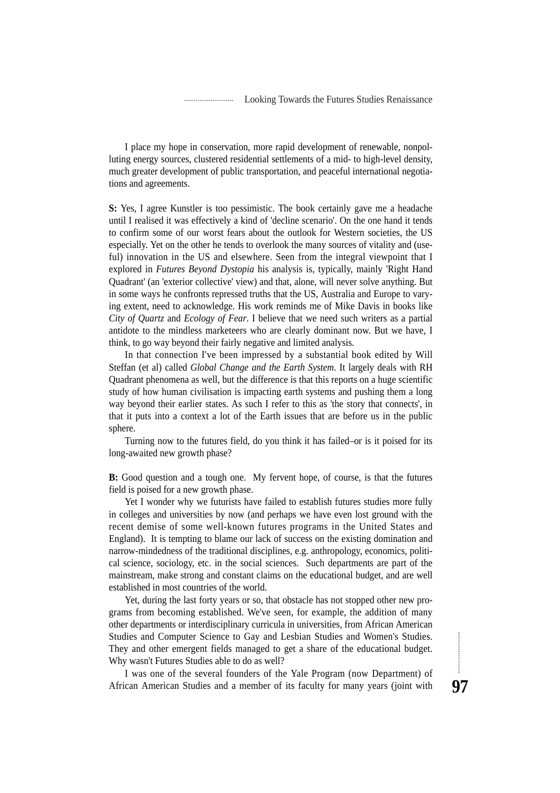I place my hope in conservation, more rapid development of renewable, nonpolluting energy sources, clustered residential settlements of a mid- to high-level density, much greater development of public transportation, and peaceful international negotiations and agreements.

**S:** Yes, I agree Kunstler is too pessimistic. The book certainly gave me a headache until I realised it was effectively a kind of 'decline scenario'. On the one hand it tends to confirm some of our worst fears about the outlook for Western societies, the US especially. Yet on the other he tends to overlook the many sources of vitality and (useful) innovation in the US and elsewhere. Seen from the integral viewpoint that I explored in *Futures Beyond Dystopia* his analysis is, typically, mainly 'Right Hand Quadrant' (an 'exterior collective' view) and that, alone, will never solve anything. But in some ways he confronts repressed truths that the US, Australia and Europe to varying extent, need to acknowledge. His work reminds me of Mike Davis in books like *City of Quartz* and *Ecology of Fear*. I believe that we need such writers as a partial antidote to the mindless marketeers who are clearly dominant now. But we have, I think, to go way beyond their fairly negative and limited analysis.

In that connection I've been impressed by a substantial book edited by Will Steffan (et al) called *Global Change and the Earth System*. It largely deals with RH Quadrant phenomena as well, but the difference is that this reports on a huge scientific study of how human civilisation is impacting earth systems and pushing them a long way beyond their earlier states. As such I refer to this as 'the story that connects', in that it puts into a context a lot of the Earth issues that are before us in the public sphere.

Turning now to the futures field, do you think it has failed–or is it poised for its long-awaited new growth phase?

**B:** Good question and a tough one. My fervent hope, of course, is that the futures field is poised for a new growth phase.

Yet I wonder why we futurists have failed to establish futures studies more fully in colleges and universities by now (and perhaps we have even lost ground with the recent demise of some well-known futures programs in the United States and England). It is tempting to blame our lack of success on the existing domination and narrow-mindedness of the traditional disciplines, e.g. anthropology, economics, political science, sociology, etc. in the social sciences. Such departments are part of the mainstream, make strong and constant claims on the educational budget, and are well established in most countries of the world.

Yet, during the last forty years or so, that obstacle has not stopped other new programs from becoming established. We've seen, for example, the addition of many other departments or interdisciplinary curricula in universities, from African American Studies and Computer Science to Gay and Lesbian Studies and Women's Studies. They and other emergent fields managed to get a share of the educational budget. Why wasn't Futures Studies able to do as well?

I was one of the several founders of the Yale Program (now Department) of African American Studies and a member of its faculty for many years (joint with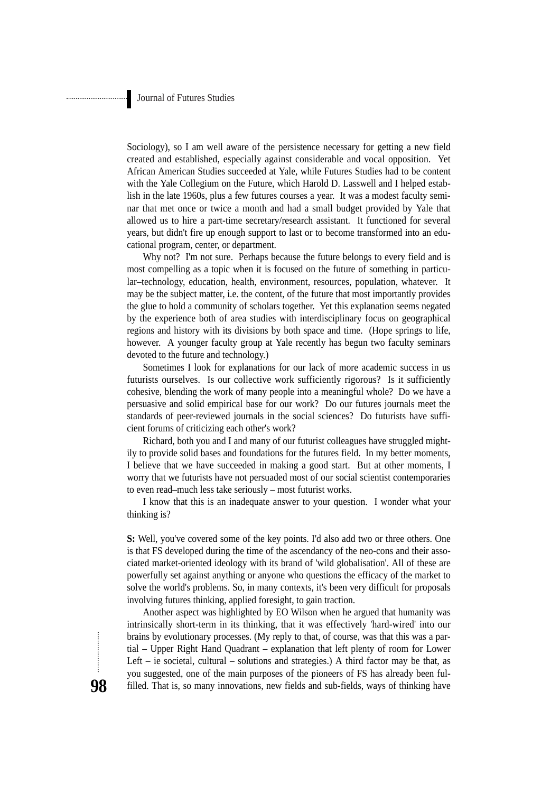Sociology), so I am well aware of the persistence necessary for getting a new field created and established, especially against considerable and vocal opposition. Yet African American Studies succeeded at Yale, while Futures Studies had to be content with the Yale Collegium on the Future, which Harold D. Lasswell and I helped establish in the late 1960s, plus a few futures courses a year. It was a modest faculty seminar that met once or twice a month and had a small budget provided by Yale that allowed us to hire a part-time secretary/research assistant. It functioned for several years, but didn't fire up enough support to last or to become transformed into an educational program, center, or department.

Why not? I'm not sure. Perhaps because the future belongs to every field and is most compelling as a topic when it is focused on the future of something in particular–technology, education, health, environment, resources, population, whatever. It may be the subject matter, i.e. the content, of the future that most importantly provides the glue to hold a community of scholars together. Yet this explanation seems negated by the experience both of area studies with interdisciplinary focus on geographical regions and history with its divisions by both space and time. (Hope springs to life, however. A younger faculty group at Yale recently has begun two faculty seminars devoted to the future and technology.)

Sometimes I look for explanations for our lack of more academic success in us futurists ourselves. Is our collective work sufficiently rigorous? Is it sufficiently cohesive, blending the work of many people into a meaningful whole? Do we have a persuasive and solid empirical base for our work? Do our futures journals meet the standards of peer-reviewed journals in the social sciences? Do futurists have sufficient forums of criticizing each other's work?

Richard, both you and I and many of our futurist colleagues have struggled mightily to provide solid bases and foundations for the futures field. In my better moments, I believe that we have succeeded in making a good start. But at other moments, I worry that we futurists have not persuaded most of our social scientist contemporaries to even read–much less take seriously – most futurist works.

I know that this is an inadequate answer to your question. I wonder what your thinking is?

**S:** Well, you've covered some of the key points. I'd also add two or three others. One is that FS developed during the time of the ascendancy of the neo-cons and their associated market-oriented ideology with its brand of 'wild globalisation'. All of these are powerfully set against anything or anyone who questions the efficacy of the market to solve the world's problems. So, in many contexts, it's been very difficult for proposals involving futures thinking, applied foresight, to gain traction.

Another aspect was highlighted by EO Wilson when he argued that humanity was intrinsically short-term in its thinking, that it was effectively 'hard-wired' into our brains by evolutionary processes. (My reply to that, of course, was that this was a partial – Upper Right Hand Quadrant – explanation that left plenty of room for Lower Left – ie societal, cultural – solutions and strategies.) A third factor may be that, as you suggested, one of the main purposes of the pioneers of FS has already been fulfilled. That is, so many innovations, new fields and sub-fields, ways of thinking have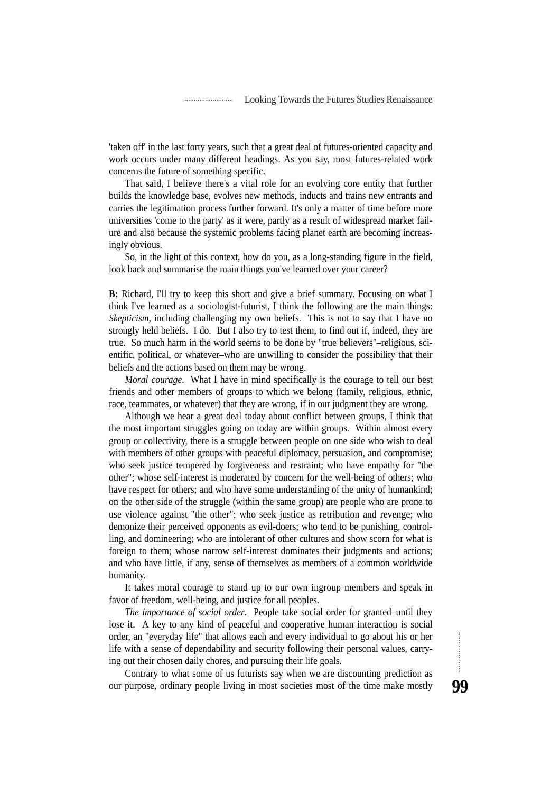'taken off' in the last forty years, such that a great deal of futures-oriented capacity and work occurs under many different headings. As you say, most futures-related work concerns the future of something specific.

That said, I believe there's a vital role for an evolving core entity that further builds the knowledge base, evolves new methods, inducts and trains new entrants and carries the legitimation process further forward. It's only a matter of time before more universities 'come to the party' as it were, partly as a result of widespread market failure and also because the systemic problems facing planet earth are becoming increasingly obvious.

So, in the light of this context, how do you, as a long-standing figure in the field, look back and summarise the main things you've learned over your career?

**B:** Richard, I'll try to keep this short and give a brief summary. Focusing on what I think I've learned as a sociologist-futurist, I think the following are the main things: *Skepticism*, including challenging my own beliefs. This is not to say that I have no strongly held beliefs. I do. But I also try to test them, to find out if, indeed, they are true. So much harm in the world seems to be done by "true believers"–religious, scientific, political, or whatever–who are unwilling to consider the possibility that their beliefs and the actions based on them may be wrong.

*Moral courage*. What I have in mind specifically is the courage to tell our best friends and other members of groups to which we belong (family, religious, ethnic, race, teammates, or whatever) that they are wrong, if in our judgment they are wrong.

Although we hear a great deal today about conflict between groups, I think that the most important struggles going on today are within groups. Within almost every group or collectivity, there is a struggle between people on one side who wish to deal with members of other groups with peaceful diplomacy, persuasion, and compromise; who seek justice tempered by forgiveness and restraint; who have empathy for "the other"; whose self-interest is moderated by concern for the well-being of others; who have respect for others; and who have some understanding of the unity of humankind; on the other side of the struggle (within the same group) are people who are prone to use violence against "the other"; who seek justice as retribution and revenge; who demonize their perceived opponents as evil-doers; who tend to be punishing, controlling, and domineering; who are intolerant of other cultures and show scorn for what is foreign to them; whose narrow self-interest dominates their judgments and actions; and who have little, if any, sense of themselves as members of a common worldwide humanity.

It takes moral courage to stand up to our own ingroup members and speak in favor of freedom, well-being, and justice for all peoples.

*The importance of social order*. People take social order for granted–until they lose it. A key to any kind of peaceful and cooperative human interaction is social order, an "everyday life" that allows each and every individual to go about his or her life with a sense of dependability and security following their personal values, carrying out their chosen daily chores, and pursuing their life goals.

Contrary to what some of us futurists say when we are discounting prediction as our purpose, ordinary people living in most societies most of the time make mostly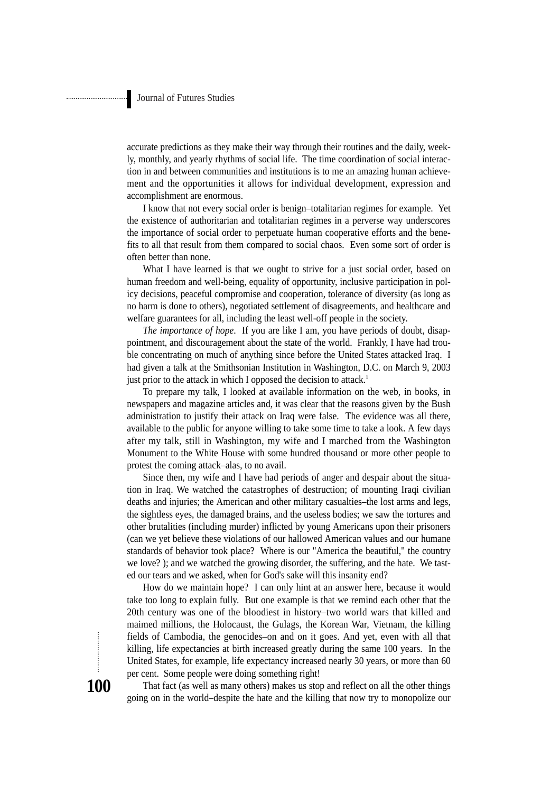accurate predictions as they make their way through their routines and the daily, weekly, monthly, and yearly rhythms of social life. The time coordination of social interaction in and between communities and institutions is to me an amazing human achievement and the opportunities it allows for individual development, expression and accomplishment are enormous.

I know that not every social order is benign–totalitarian regimes for example. Yet the existence of authoritarian and totalitarian regimes in a perverse way underscores the importance of social order to perpetuate human cooperative efforts and the benefits to all that result from them compared to social chaos. Even some sort of order is often better than none.

What I have learned is that we ought to strive for a just social order, based on human freedom and well-being, equality of opportunity, inclusive participation in policy decisions, peaceful compromise and cooperation, tolerance of diversity (as long as no harm is done to others), negotiated settlement of disagreements, and healthcare and welfare guarantees for all, including the least well-off people in the society.

*The importance of hope*. If you are like I am, you have periods of doubt, disappointment, and discouragement about the state of the world. Frankly, I have had trouble concentrating on much of anything since before the United States attacked Iraq. I had given a talk at the Smithsonian Institution in Washington, D.C. on March 9, 2003 just prior to the attack in which I opposed the decision to attack.<sup>1</sup>

To prepare my talk, I looked at available information on the web, in books, in newspapers and magazine articles and, it was clear that the reasons given by the Bush administration to justify their attack on Iraq were false. The evidence was all there, available to the public for anyone willing to take some time to take a look. A few days after my talk, still in Washington, my wife and I marched from the Washington Monument to the White House with some hundred thousand or more other people to protest the coming attack–alas, to no avail.

Since then, my wife and I have had periods of anger and despair about the situation in Iraq. We watched the catastrophes of destruction; of mounting Iraqi civilian deaths and injuries; the American and other military casualties–the lost arms and legs, the sightless eyes, the damaged brains, and the useless bodies; we saw the tortures and other brutalities (including murder) inflicted by young Americans upon their prisoners (can we yet believe these violations of our hallowed American values and our humane standards of behavior took place? Where is our "America the beautiful," the country we love? ); and we watched the growing disorder, the suffering, and the hate. We tasted our tears and we asked, when for God's sake will this insanity end?

How do we maintain hope? I can only hint at an answer here, because it would take too long to explain fully. But one example is that we remind each other that the 20th century was one of the bloodiest in history–two world wars that killed and maimed millions, the Holocaust, the Gulags, the Korean War, Vietnam, the killing fields of Cambodia, the genocides–on and on it goes. And yet, even with all that killing, life expectancies at birth increased greatly during the same 100 years. In the United States, for example, life expectancy increased nearly 30 years, or more than 60 per cent. Some people were doing something right!

That fact (as well as many others) makes us stop and reflect on all the other things going on in the world–despite the hate and the killing that now try to monopolize our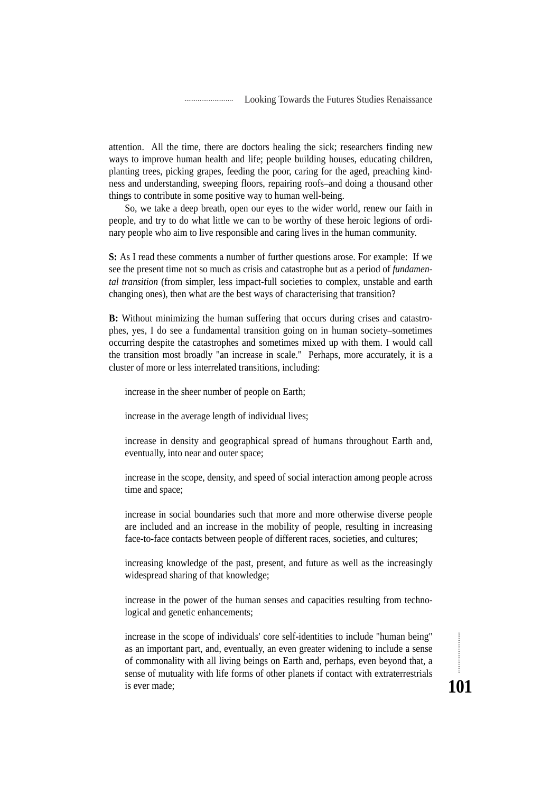attention. All the time, there are doctors healing the sick; researchers finding new ways to improve human health and life; people building houses, educating children, planting trees, picking grapes, feeding the poor, caring for the aged, preaching kindness and understanding, sweeping floors, repairing roofs–and doing a thousand other things to contribute in some positive way to human well-being.

So, we take a deep breath, open our eyes to the wider world, renew our faith in people, and try to do what little we can to be worthy of these heroic legions of ordinary people who aim to live responsible and caring lives in the human community.

**S:** As I read these comments a number of further questions arose. For example: If we see the present time not so much as crisis and catastrophe but as a period of *fundamental transition* (from simpler, less impact-full societies to complex, unstable and earth changing ones), then what are the best ways of characterising that transition?

**B:** Without minimizing the human suffering that occurs during crises and catastrophes, yes, I do see a fundamental transition going on in human society–sometimes occurring despite the catastrophes and sometimes mixed up with them. I would call the transition most broadly "an increase in scale." Perhaps, more accurately, it is a cluster of more or less interrelated transitions, including:

increase in the sheer number of people on Earth;

increase in the average length of individual lives;

increase in density and geographical spread of humans throughout Earth and, eventually, into near and outer space;

increase in the scope, density, and speed of social interaction among people across time and space;

increase in social boundaries such that more and more otherwise diverse people are included and an increase in the mobility of people, resulting in increasing face-to-face contacts between people of different races, societies, and cultures;

increasing knowledge of the past, present, and future as well as the increasingly widespread sharing of that knowledge;

increase in the power of the human senses and capacities resulting from technological and genetic enhancements;

increase in the scope of individuals' core self-identities to include "human being" as an important part, and, eventually, an even greater widening to include a sense of commonality with all living beings on Earth and, perhaps, even beyond that, a sense of mutuality with life forms of other planets if contact with extraterrestrials is ever made;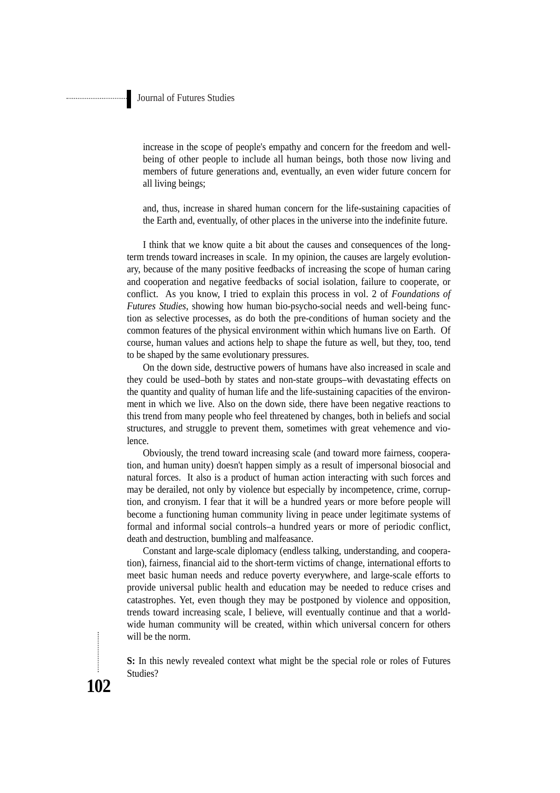increase in the scope of people's empathy and concern for the freedom and wellbeing of other people to include all human beings, both those now living and members of future generations and, eventually, an even wider future concern for all living beings;

and, thus, increase in shared human concern for the life-sustaining capacities of the Earth and, eventually, of other places in the universe into the indefinite future.

I think that we know quite a bit about the causes and consequences of the longterm trends toward increases in scale. In my opinion, the causes are largely evolutionary, because of the many positive feedbacks of increasing the scope of human caring and cooperation and negative feedbacks of social isolation, failure to cooperate, or conflict. As you know, I tried to explain this process in vol. 2 of *Foundations of Futures Studies*, showing how human bio-psycho-social needs and well-being function as selective processes, as do both the pre-conditions of human society and the common features of the physical environment within which humans live on Earth. Of course, human values and actions help to shape the future as well, but they, too, tend to be shaped by the same evolutionary pressures.

On the down side, destructive powers of humans have also increased in scale and they could be used–both by states and non-state groups–with devastating effects on the quantity and quality of human life and the life-sustaining capacities of the environment in which we live. Also on the down side, there have been negative reactions to this trend from many people who feel threatened by changes, both in beliefs and social structures, and struggle to prevent them, sometimes with great vehemence and violence.

Obviously, the trend toward increasing scale (and toward more fairness, cooperation, and human unity) doesn't happen simply as a result of impersonal biosocial and natural forces. It also is a product of human action interacting with such forces and may be derailed, not only by violence but especially by incompetence, crime, corruption, and cronyism. I fear that it will be a hundred years or more before people will become a functioning human community living in peace under legitimate systems of formal and informal social controls–a hundred years or more of periodic conflict, death and destruction, bumbling and malfeasance.

Constant and large-scale diplomacy (endless talking, understanding, and cooperation), fairness, financial aid to the short-term victims of change, international efforts to meet basic human needs and reduce poverty everywhere, and large-scale efforts to provide universal public health and education may be needed to reduce crises and catastrophes. Yet, even though they may be postponed by violence and opposition, trends toward increasing scale, I believe, will eventually continue and that a worldwide human community will be created, within which universal concern for others will be the norm.

**S:** In this newly revealed context what might be the special role or roles of Futures Studies?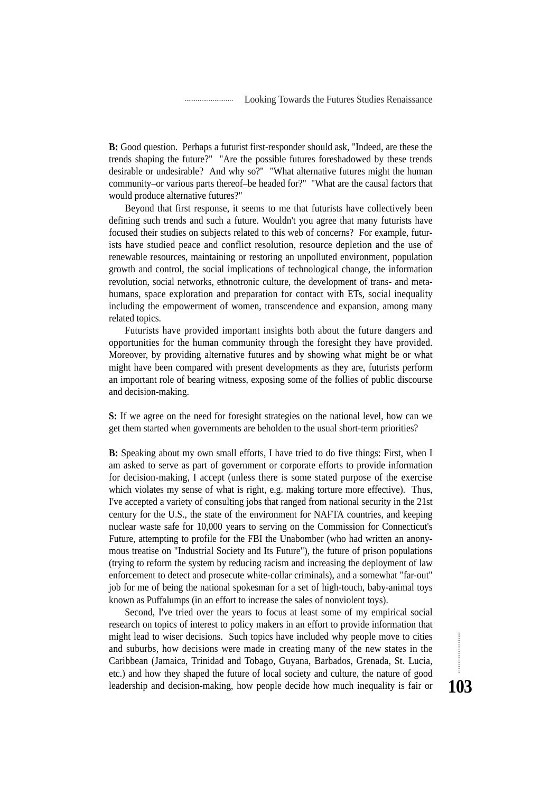**B:** Good question. Perhaps a futurist first-responder should ask, "Indeed, are these the trends shaping the future?" "Are the possible futures foreshadowed by these trends desirable or undesirable? And why so?" "What alternative futures might the human community–or various parts thereof–be headed for?" "What are the causal factors that would produce alternative futures?"

Beyond that first response, it seems to me that futurists have collectively been defining such trends and such a future. Wouldn't you agree that many futurists have focused their studies on subjects related to this web of concerns? For example, futurists have studied peace and conflict resolution, resource depletion and the use of renewable resources, maintaining or restoring an unpolluted environment, population growth and control, the social implications of technological change, the information revolution, social networks, ethnotronic culture, the development of trans- and metahumans, space exploration and preparation for contact with ETs, social inequality including the empowerment of women, transcendence and expansion, among many related topics.

Futurists have provided important insights both about the future dangers and opportunities for the human community through the foresight they have provided. Moreover, by providing alternative futures and by showing what might be or what might have been compared with present developments as they are, futurists perform an important role of bearing witness, exposing some of the follies of public discourse and decision-making.

**S:** If we agree on the need for foresight strategies on the national level, how can we get them started when governments are beholden to the usual short-term priorities?

**B:** Speaking about my own small efforts, I have tried to do five things: First, when I am asked to serve as part of government or corporate efforts to provide information for decision-making, I accept (unless there is some stated purpose of the exercise which violates my sense of what is right, e.g. making torture more effective). Thus, I've accepted a variety of consulting jobs that ranged from national security in the 21st century for the U.S., the state of the environment for NAFTA countries, and keeping nuclear waste safe for 10,000 years to serving on the Commission for Connecticut's Future, attempting to profile for the FBI the Unabomber (who had written an anonymous treatise on "Industrial Society and Its Future"), the future of prison populations (trying to reform the system by reducing racism and increasing the deployment of law enforcement to detect and prosecute white-collar criminals), and a somewhat "far-out" job for me of being the national spokesman for a set of high-touch, baby-animal toys known as Puffalumps (in an effort to increase the sales of nonviolent toys).

Second, I've tried over the years to focus at least some of my empirical social research on topics of interest to policy makers in an effort to provide information that might lead to wiser decisions. Such topics have included why people move to cities and suburbs, how decisions were made in creating many of the new states in the Caribbean (Jamaica, Trinidad and Tobago, Guyana, Barbados, Grenada, St. Lucia, etc.) and how they shaped the future of local society and culture, the nature of good leadership and decision-making, how people decide how much inequality is fair or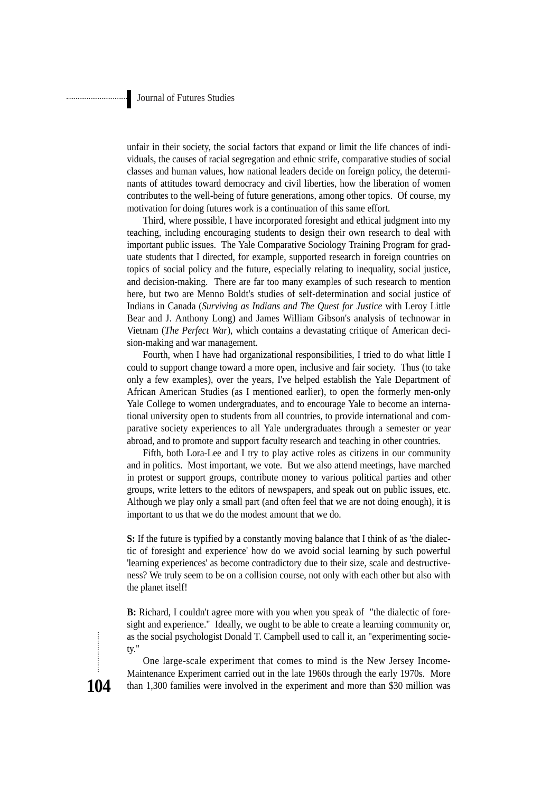unfair in their society, the social factors that expand or limit the life chances of individuals, the causes of racial segregation and ethnic strife, comparative studies of social classes and human values, how national leaders decide on foreign policy, the determinants of attitudes toward democracy and civil liberties, how the liberation of women contributes to the well-being of future generations, among other topics. Of course, my motivation for doing futures work is a continuation of this same effort.

Third, where possible, I have incorporated foresight and ethical judgment into my teaching, including encouraging students to design their own research to deal with important public issues. The Yale Comparative Sociology Training Program for graduate students that I directed, for example, supported research in foreign countries on topics of social policy and the future, especially relating to inequality, social justice, and decision-making. There are far too many examples of such research to mention here, but two are Menno Boldt's studies of self-determination and social justice of Indians in Canada (*Surviving as Indians and The Quest for Justice* with Leroy Little Bear and J. Anthony Long) and James William Gibson's analysis of technowar in Vietnam (*The Perfect War*), which contains a devastating critique of American decision-making and war management.

Fourth, when I have had organizational responsibilities, I tried to do what little I could to support change toward a more open, inclusive and fair society. Thus (to take only a few examples), over the years, I've helped establish the Yale Department of African American Studies (as I mentioned earlier), to open the formerly men-only Yale College to women undergraduates, and to encourage Yale to become an international university open to students from all countries, to provide international and comparative society experiences to all Yale undergraduates through a semester or year abroad, and to promote and support faculty research and teaching in other countries.

Fifth, both Lora-Lee and I try to play active roles as citizens in our community and in politics. Most important, we vote. But we also attend meetings, have marched in protest or support groups, contribute money to various political parties and other groups, write letters to the editors of newspapers, and speak out on public issues, etc. Although we play only a small part (and often feel that we are not doing enough), it is important to us that we do the modest amount that we do.

**S:** If the future is typified by a constantly moving balance that I think of as 'the dialectic of foresight and experience' how do we avoid social learning by such powerful 'learning experiences' as become contradictory due to their size, scale and destructiveness? We truly seem to be on a collision course, not only with each other but also with the planet itself!

**B:** Richard, I couldn't agree more with you when you speak of "the dialectic of foresight and experience." Ideally, we ought to be able to create a learning community or, as the social psychologist Donald T. Campbell used to call it, an "experimenting society."

One large-scale experiment that comes to mind is the New Jersey Income-Maintenance Experiment carried out in the late 1960s through the early 1970s. More than 1,300 families were involved in the experiment and more than \$30 million was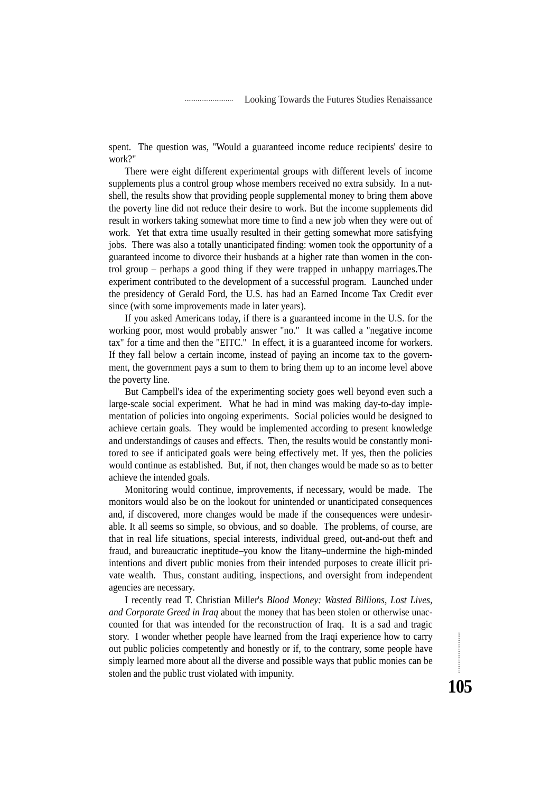spent. The question was, "Would a guaranteed income reduce recipients' desire to work?"

There were eight different experimental groups with different levels of income supplements plus a control group whose members received no extra subsidy. In a nutshell, the results show that providing people supplemental money to bring them above the poverty line did not reduce their desire to work. But the income supplements did result in workers taking somewhat more time to find a new job when they were out of work. Yet that extra time usually resulted in their getting somewhat more satisfying jobs. There was also a totally unanticipated finding: women took the opportunity of a guaranteed income to divorce their husbands at a higher rate than women in the control group – perhaps a good thing if they were trapped in unhappy marriages.The experiment contributed to the development of a successful program. Launched under the presidency of Gerald Ford, the U.S. has had an Earned Income Tax Credit ever since (with some improvements made in later years).

If you asked Americans today, if there is a guaranteed income in the U.S. for the working poor, most would probably answer "no." It was called a "negative income tax" for a time and then the "EITC." In effect, it is a guaranteed income for workers. If they fall below a certain income, instead of paying an income tax to the government, the government pays a sum to them to bring them up to an income level above the poverty line.

But Campbell's idea of the experimenting society goes well beyond even such a large-scale social experiment. What he had in mind was making day-to-day implementation of policies into ongoing experiments. Social policies would be designed to achieve certain goals. They would be implemented according to present knowledge and understandings of causes and effects. Then, the results would be constantly monitored to see if anticipated goals were being effectively met. If yes, then the policies would continue as established. But, if not, then changes would be made so as to better achieve the intended goals.

Monitoring would continue, improvements, if necessary, would be made. The monitors would also be on the lookout for unintended or unanticipated consequences and, if discovered, more changes would be made if the consequences were undesirable. It all seems so simple, so obvious, and so doable. The problems, of course, are that in real life situations, special interests, individual greed, out-and-out theft and fraud, and bureaucratic ineptitude–you know the litany–undermine the high-minded intentions and divert public monies from their intended purposes to create illicit private wealth. Thus, constant auditing, inspections, and oversight from independent agencies are necessary.

I recently read T. Christian Miller's *Blood Money: Wasted Billions, Lost Lives, and Corporate Greed in Iraq* about the money that has been stolen or otherwise unaccounted for that was intended for the reconstruction of Iraq. It is a sad and tragic story. I wonder whether people have learned from the Iraqi experience how to carry out public policies competently and honestly or if, to the contrary, some people have simply learned more about all the diverse and possible ways that public monies can be stolen and the public trust violated with impunity.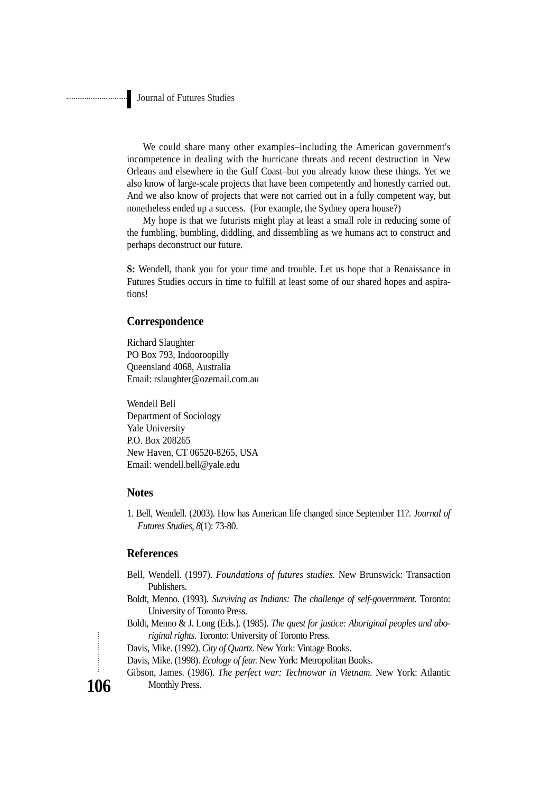We could share many other examples–including the American government's incompetence in dealing with the hurricane threats and recent destruction in New Orleans and elsewhere in the Gulf Coast–but you already know these things. Yet we also know of large-scale projects that have been competently and honestly carried out. And we also know of projects that were not carried out in a fully competent way, but nonetheless ended up a success. (For example, the Sydney opera house?)

My hope is that we futurists might play at least a small role in reducing some of the fumbling, bumbling, diddling, and dissembling as we humans act to construct and perhaps deconstruct our future.

**S:** Wendell, thank you for your time and trouble. Let us hope that a Renaissance in Futures Studies occurs in time to fulfill at least some of our shared hopes and aspirations!

#### **Correspondence**

Richard Slaughter PO Box 793, Indooroopilly Queensland 4068, Australia Email: rslaughter@ozemail.com.au

Wendell Bell Department of Sociology Yale University P.O. Box 208265 New Haven, CT 06520-8265, USA Email: wendell.bell@yale.edu

### **Notes**

1. Bell, Wendell. (2003). How has American life changed since September 11?. *Journal of Futures Studies, 8*(1): 73-80.

#### **References**

- Bell, Wendell. (1997). *Foundations of futures studies.* New Brunswick: Transaction Publishers.
- Boldt, Menno. (1993). *Surviving as Indians: The challenge of self-government.* Toronto: University of Toronto Press.
- Boldt, Menno & J. Long (Eds.). (1985). *The quest for justice: Aboriginal peoples and aboriginal rights.* Toronto: University of Toronto Press.

Davis, Mike. (1992). *City of Quartz.* New York: Vintage Books.

- Davis, Mike. (1998). *Ecology of fear.* New York: Metropolitan Books.
- Gibson, James. (1986). *The perfect war: Technowar in Vietnam.* New York: Atlantic Monthly Press.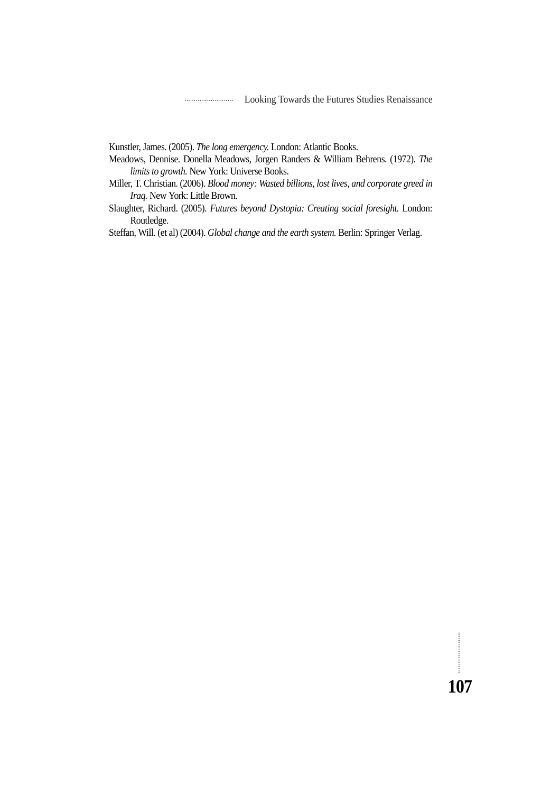Looking Towards the Futures Studies Renaissance

Kunstler, James. (2005). *The long emergency.* London: Atlantic Books.

Meadows, Dennise. Donella Meadows, Jorgen Randers & William Behrens. (1972). *The limits to growth.* New York: Universe Books.

Miller, T. Christian. (2006). *Blood money: Wasted billions, lost lives, and corporate greed in Iraq.* New York: Little Brown.

Slaughter, Richard. (2005). *Futures beyond Dystopia: Creating social foresight.* London: Routledge.

Steffan, Will. (et al) (2004). *Global change and the earth system.* Berlin: Springer Verlag.